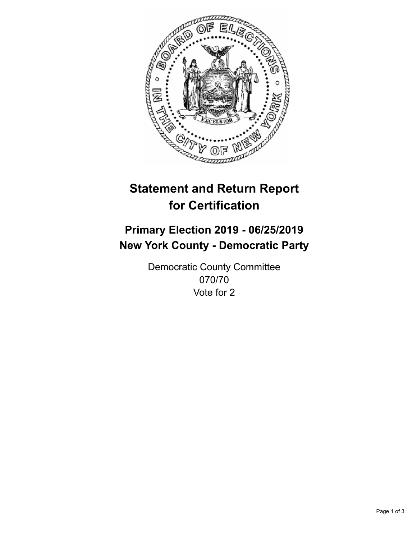

## **Statement and Return Report for Certification**

## **Primary Election 2019 - 06/25/2019 New York County - Democratic Party**

Democratic County Committee 070/70 Vote for 2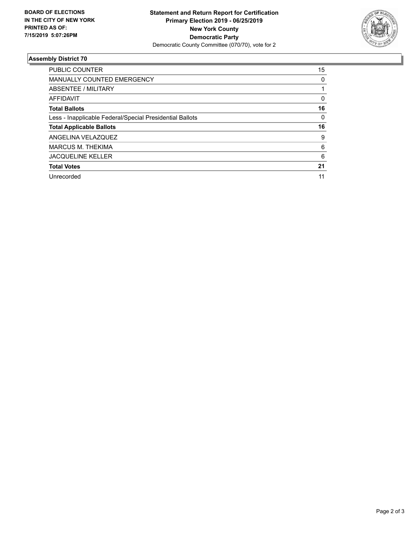

## **Assembly District 70**

| <b>PUBLIC COUNTER</b>                                    | 15 |
|----------------------------------------------------------|----|
| <b>MANUALLY COUNTED EMERGENCY</b>                        | 0  |
| ABSENTEE / MILITARY                                      |    |
| <b>AFFIDAVIT</b>                                         | 0  |
| <b>Total Ballots</b>                                     | 16 |
| Less - Inapplicable Federal/Special Presidential Ballots | 0  |
| <b>Total Applicable Ballots</b>                          | 16 |
| ANGELINA VELAZQUEZ                                       | 9  |
| <b>MARCUS M. THEKIMA</b>                                 | 6  |
| <b>JACQUELINE KELLER</b>                                 | 6  |
| <b>Total Votes</b>                                       | 21 |
| Unrecorded                                               | 11 |